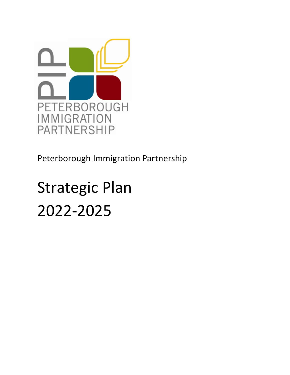

Peterborough Immigration Partnership

# Strategic Plan 2022-2025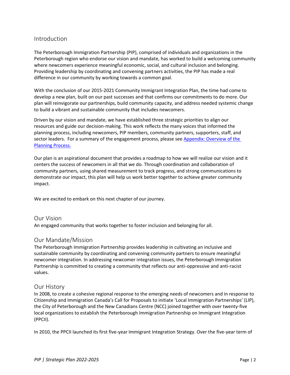# Introduction

The Peterborough Immigration Partnership (PIP), comprised of individuals and organizations in the Peterborough region who endorse our vision and mandate, has worked to build a welcoming community where newcomers experience meaningful economic, social, and cultural inclusion and belonging. Providing leadership by coordinating and convening partners activities, the PIP has made a real difference in our community by working towards a common goal.

With the conclusion of our 2015-2021 Community Immigrant Integration Plan, the time had come to develop a new plan, built on our past successes and that confirms our commitments to do more. Our plan will reinvigorate our partnerships, build community capacity, and address needed systemic change to build a vibrant and sustainable community that includes newcomers.

Driven by our vision and mandate, we have established three strategic priorities to align our resources and guide our decision-making. This work reflects the many voices that informed the planning process, including newcomers, PIP members, community partners, supporters, staff, and sector leaders. For a summary of the engagement process, please see Appendix: Overview of the Planning Process.

Our plan is an aspirational document that provides a roadmap to how we will realize our vision and it centers the success of newcomers in all that we do. Through coordination and collaboration of community partners, using shared measurement to track progress, and strong communications to demonstrate our impact, this plan will help us work better together to achieve greater community impact.

We are excited to embark on this next chapter of our journey.

# Our Vision

An engaged community that works together to foster inclusion and belonging for all.

# Our Mandate/Mission

The Peterborough Immigration Partnership provides leadership in cultivating an inclusive and sustainable community by coordinating and convening community partners to ensure meaningful newcomer integration. In addressing newcomer integration issues, the Peterborough Immigration Partnership is committed to creating a community that reflects our anti-oppressive and anti-racist values.

# Our History

In 2008, to create a cohesive regional response to the emerging needs of newcomers and in response to Citizenship and Immigration Canada's Call for Proposals to initiate 'Local Immigration Partnerships' (LIP), the City of Peterborough and the New Canadians Centre (NCC) joined together with over twenty-five local organizations to establish the Peterborough Immigration Partnership on Immigrant Integration (PPCII).

In 2010, the PPCII launched its first five-year Immigrant Integration Strategy. Over the five-year term of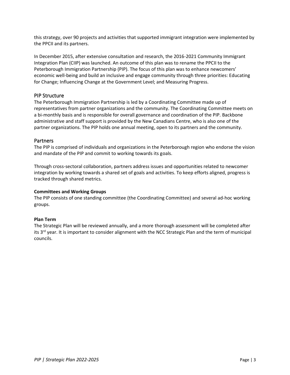this strategy, over 90 projects and activities that supported immigrant integration were implemented by the PPCII and its partners.

In December 2015, after extensive consultation and research, the 2016-2021 Community Immigrant Integration Plan (CIIP) was launched. An outcome of this plan was to rename the PPCII to the Peterborough Immigration Partnership (PIP). The focus of this plan was to enhance newcomers' economic well-being and build an inclusive and engage community through three priorities: Educating for Change; Influencing Change at the Government Level; and Measuring Progress.

# PIP Structure

The Peterborough Immigration Partnership is led by a Coordinating Committee made up of representatives from partner organizations and the community. The Coordinating Committee meets on a bi-monthly basis and is responsible for overall governance and coordination of the PIP. Backbone administrative and staff support is provided by the New Canadians Centre, who is also one of the partner organizations. The PIP holds one annual meeting, open to its partners and the community.

#### **Partners**

The PIP is comprised of individuals and organizations in the Peterborough region who endorse the vision and mandate of the PIP and commit to working towards its goals.

Through cross-sectoral collaboration, partners address issues and opportunities related to newcomer integration by working towards a shared set of goals and activities. To keep efforts aligned, progress is tracked through shared metrics.

#### **Committees and Working Groups**

The PIP consists of one standing committee (the Coordinating Committee) and several ad-hoc working groups.

#### **Plan Term**

The Strategic Plan will be reviewed annually, and a more thorough assessment will be completed after its 3<sup>rd</sup> year. It is important to consider alignment with the NCC Strategic Plan and the term of municipal councils.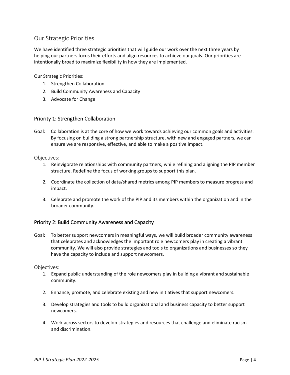# Our Strategic Priorities

We have identified three strategic priorities that will guide our work over the next three years by helping our partners focus their efforts and align resources to achieve our goals. Our priorities are intentionally broad to maximize flexibility in how they are implemented.

Our Strategic Priorities:

- 1. Strengthen Collaboration
- 2. Build Community Awareness and Capacity
- 3. Advocate for Change

# Priority 1: Strengthen Collaboration

Goal: Collaboration is at the core of how we work towards achieving our common goals and activities. By focusing on building a strong partnership structure, with new and engaged partners, we can ensure we are responsive, effective, and able to make a positive impact.

Objectives:

- 1. Reinvigorate relationships with community partners, while refining and aligning the PIP member structure. Redefine the focus of working groups to support this plan.
- 2. Coordinate the collection of data/shared metrics among PIP members to measure progress and impact.
- 3. Celebrate and promote the work of the PIP and its members within the organization and in the broader community.

# Priority 2: Build Community Awareness and Capacity

Goal: To better support newcomers in meaningful ways, we will build broader community awareness that celebrates and acknowledges the important role newcomers play in creating a vibrant community. We will also provide strategies and tools to organizations and businesses so they have the capacity to include and support newcomers.

Objectives:

- 1. Expand public understanding of the role newcomers play in building a vibrant and sustainable community.
- 2. Enhance, promote, and celebrate existing and new initiatives that support newcomers.
- 3. Develop strategies and tools to build organizational and business capacity to better support newcomers.
- 4. Work across sectors to develop strategies and resources that challenge and eliminate racism and discrimination.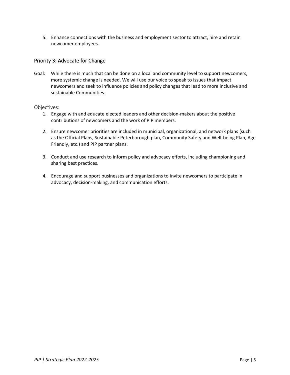5. Enhance connections with the business and employment sector to attract, hire and retain newcomer employees.

# Priority 3: Advocate for Change

Goal: While there is much that can be done on a local and community level to support newcomers, more systemic change is needed. We will use our voice to speak to issues that impact newcomers and seek to influence policies and policy changes that lead to more inclusive and sustainable Communities.

#### Objectives:

- 1. Engage with and educate elected leaders and other decision-makers about the positive contributions of newcomers and the work of PIP members.
- 2. Ensure newcomer priorities are included in municipal, organizational, and network plans (such as the Official Plans, Sustainable Peterborough plan, Community Safety and Well-being Plan, Age Friendly, etc.) and PIP partner plans.
- 3. Conduct and use research to inform policy and advocacy efforts, including championing and sharing best practices.
- 4. Encourage and support businesses and organizations to invite newcomers to participate in advocacy, decision-making, and communication efforts.